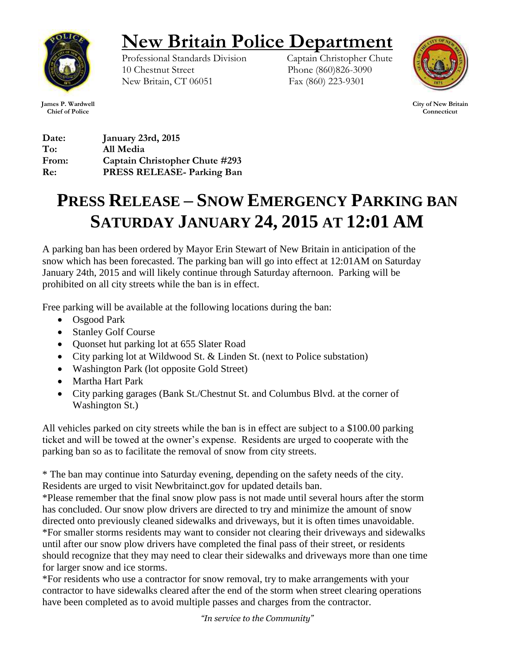

## **New Britain Police Department**

Professional Standards Division Captain Christopher Chute 10 Chestnut Street Phone (860)826-3090 New Britain, CT 06051 Fax (860) 223-9301



 **City of New Britain Connecticut**

**James P. Wardwell Chief of Police**

**Date: January 23rd, 2015 To: All Media From: Captain Christopher Chute #293 Re: PRESS RELEASE- Parking Ban** 

## **PRESS RELEASE – SNOW EMERGENCY PARKING BAN SATURDAY JANUARY 24, 2015 AT 12:01 AM**

A parking ban has been ordered by Mayor Erin Stewart of New Britain in anticipation of the snow which has been forecasted. The parking ban will go into effect at 12:01AM on Saturday January 24th, 2015 and will likely continue through Saturday afternoon. Parking will be prohibited on all city streets while the ban is in effect.

Free parking will be available at the following locations during the ban:

- Osgood Park
- Stanley Golf Course
- Quonset hut parking lot at 655 Slater Road
- City parking lot at Wildwood St. & Linden St. (next to Police substation)
- Washington Park (lot opposite Gold Street)
- Martha Hart Park
- City parking garages (Bank St./Chestnut St. and Columbus Blvd. at the corner of Washington St.)

All vehicles parked on city streets while the ban is in effect are subject to a \$100.00 parking ticket and will be towed at the owner's expense. Residents are urged to cooperate with the parking ban so as to facilitate the removal of snow from city streets.

\* The ban may continue into Saturday evening, depending on the safety needs of the city. Residents are urged to visit Newbritainct.gov for updated details ban.

\*Please remember that the final snow plow pass is not made until several hours after the storm has concluded. Our snow plow drivers are directed to try and minimize the amount of snow directed onto previously cleaned sidewalks and driveways, but it is often times unavoidable. \*For smaller storms residents may want to consider not clearing their driveways and sidewalks until after our snow plow drivers have completed the final pass of their street, or residents should recognize that they may need to clear their sidewalks and driveways more than one time

for larger snow and ice storms.

\*For residents who use a contractor for snow removal, try to make arrangements with your contractor to have sidewalks cleared after the end of the storm when street clearing operations have been completed as to avoid multiple passes and charges from the contractor.

*"In service to the Community"*